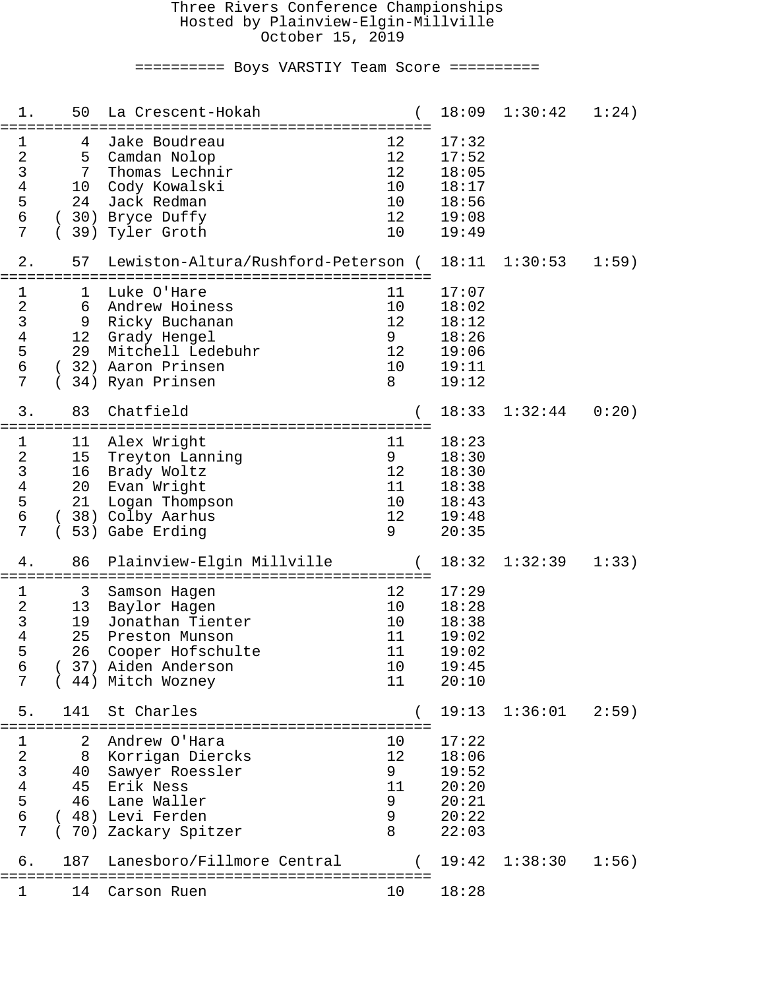#### Three Rivers Conference Championships Hosted by Plainview-Elgin-Millville October 15, 2019

========== Boys VARSTIY Team Score ==========

| 1.                                                                   | 50                                   | La Crescent-Hokah                                                                                                                 |                                              | 18:09                                                       | 1:30:42 | 1:24) |
|----------------------------------------------------------------------|--------------------------------------|-----------------------------------------------------------------------------------------------------------------------------------|----------------------------------------------|-------------------------------------------------------------|---------|-------|
| 1<br>$\sqrt{2}$<br>$\overline{3}$<br>$\bf 4$<br>5<br>$\epsilon$<br>7 | 4<br>5<br>7<br>10<br>24              | Jake Boudreau<br>Camdan Nolop<br>Thomas Lechnir<br>Cody Kowalski<br>Jack Redman<br>(30) Bryce Duffy<br>39) Tyler Groth            | 12<br>12<br>12<br>10<br>10<br>12<br>10       | 17:32<br>17:52<br>18:05<br>18:17<br>18:56<br>19:08<br>19:49 |         |       |
| 2.                                                                   | 57                                   | Lewiston-Altura/Rushford-Peterson (<br>===========================                                                                |                                              | 18:11                                                       | 1:30:53 | 1:59) |
| 1<br>$\sqrt{2}$<br>$\mathbf{3}$<br>$\,4$<br>5<br>$\epsilon$<br>7     | ı<br>6<br>9<br>12 <sub>2</sub><br>29 | Luke O'Hare<br>Andrew Hoiness<br>Ricky Buchanan<br>Grady Hengel<br>Mitchell Ledebuhr<br>32) Aaron Prinsen<br>34) Ryan Prinsen     | 11<br>10<br>12<br>9<br>12<br>10<br>8         | 17:07<br>18:02<br>18:12<br>18:26<br>19:06<br>19:11<br>19:12 |         |       |
| 3.                                                                   | 83                                   | Chatfield<br>=============================                                                                                        |                                              | 18:33                                                       | 1:32:44 | 0:20) |
| 1<br>$\sqrt{2}$<br>$\mathsf{3}$<br>$\,4$<br>5<br>$\epsilon$<br>7     | 11<br>15<br>16<br>20<br>21           | Alex Wright<br>Treyton Lanning<br>Brady Woltz<br>Evan Wright<br>Logan Thompson<br>38) Colby Aarhus<br>53) Gabe Erding             | 11<br>9<br>12<br>11<br>10<br>12<br>9         | 18:23<br>18:30<br>18:30<br>18:38<br>18:43<br>19:48<br>20:35 |         |       |
| 4.                                                                   | 86                                   | Plainview-Elgin Millville<br>=================================                                                                    |                                              | 18:32                                                       | 1:32:39 | 1:33) |
| 1<br>$\sqrt{2}$<br>$\mathfrak{Z}$<br>$\overline{4}$<br>5<br>6<br>7   | 3<br>13<br>19<br>25<br>26            | Samson Hagen<br>Baylor Hagen<br>Jonathan Tienter<br>Preston Munson<br>Cooper Hofschulte<br>37) Aiden Anderson<br>44) Mitch Wozney | 12<br>10<br>10<br>11<br>11<br>10<br>11       | 17:29<br>18:28<br>18:38<br>19:02<br>19:02<br>19:45<br>20:10 |         |       |
| 5.                                                                   | 141<br>.============                 | St Charles<br>=============================                                                                                       |                                              | 19:13                                                       | 1:36:01 | 2:59) |
| $\mathbf 1$<br>23456<br>7                                            | 2<br>8<br>40<br>45<br>46             | Andrew O'Hara<br>Korrigan Diercks<br>Sawyer Roessler<br>Erik Ness<br>Lane Waller<br>(48) Levi Ferden<br>(70) Zackary Spitzer      | 10<br>12<br>9<br>11<br>9<br>$\mathsf 9$<br>8 | 17:22<br>18:06<br>19:52<br>20:20<br>20:21<br>20:22<br>22:03 |         |       |
| б.                                                                   | 187                                  | Lanesboro/Fillmore Central                                                                                                        |                                              | 19:42                                                       | 1:38:30 | 1:56) |
| 1                                                                    | 14                                   | Carson Ruen                                                                                                                       | 10                                           | 18:28                                                       |         |       |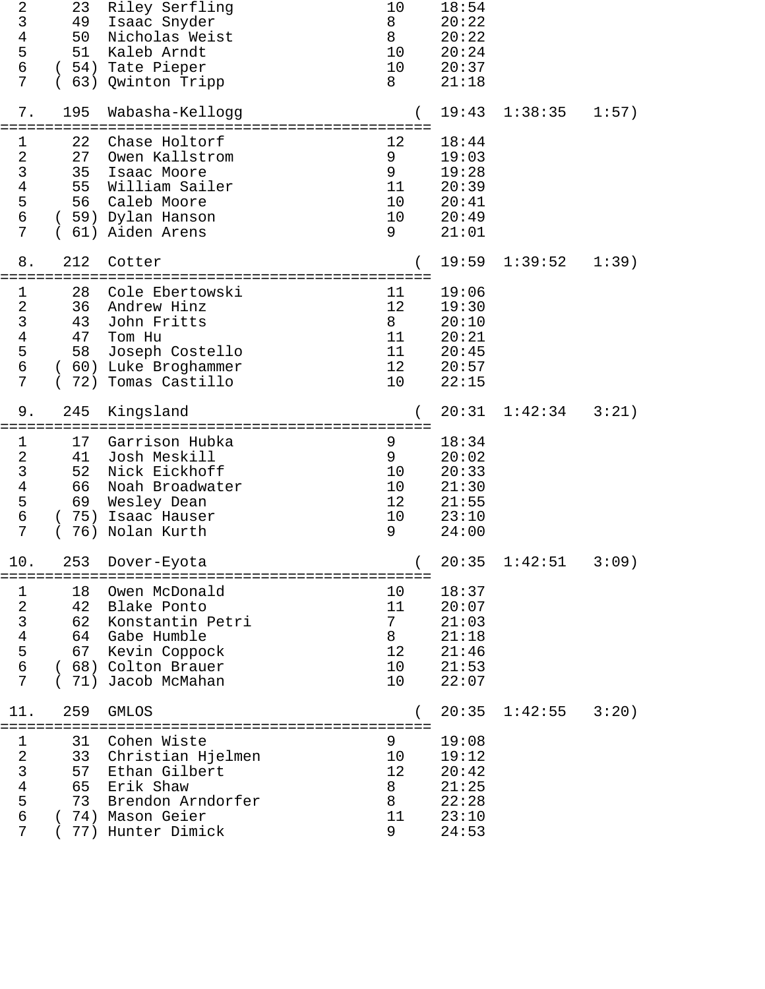| $\sqrt{2}$<br>$\mathsf 3$<br>$\overline{\mathbf{4}}$<br>5<br>6<br>7               | 23<br>49<br>50<br>51       | Riley Serfling<br>Isaac Snyder<br>Nicholas Weist<br>Kaleb Arndt<br>(54) Tate Pieper<br>63) Qwinton Tripp                           | 10<br>8<br>8<br>10<br>10<br>8         | 18:54<br>20:22<br>20:22<br>20:24<br>20:37<br>21:18          |                   |       |
|-----------------------------------------------------------------------------------|----------------------------|------------------------------------------------------------------------------------------------------------------------------------|---------------------------------------|-------------------------------------------------------------|-------------------|-------|
| $7$ .                                                                             | 195                        | Wabasha-Kellogg                                                                                                                    |                                       | 19:43                                                       | 1:38:35           | 1:57) |
| $\mathbf 1$<br>$\frac{2}{3}$<br>$\overline{4}$<br>5<br>6<br>7                     | 22<br>27<br>35<br>55<br>56 | Chase Holtorf<br>Owen Kallstrom<br>Isaac Moore<br>William Sailer<br>Caleb Moore<br>(59) Dylan Hanson<br>61) Aiden Arens            | 12<br>9<br>9<br>11<br>10<br>10<br>9   | 18:44<br>19:03<br>19:28<br>20:39<br>20:41<br>20:49<br>21:01 |                   |       |
| 8.                                                                                | 212                        | Cotter<br>============================                                                                                             |                                       | 19:59                                                       | 1:39:52           | 1:39) |
| $\mathbf 1$<br>$\sqrt{2}$<br>$\overline{3}$<br>$\overline{4}$<br>5<br>6<br>7      | 28<br>36<br>43<br>47<br>58 | Cole Ebertowski<br>Andrew Hinz<br>John Fritts<br>Tom Hu<br>Joseph Costello<br>(60) Luke Broghammer<br>72) Tomas Castillo           | 11<br>12<br>8<br>11<br>11<br>12<br>10 | 19:06<br>19:30<br>20:10<br>20:21<br>20:45<br>20:57<br>22:15 |                   |       |
| 9.                                                                                | 245                        | Kingsland<br>===============================<br>:==================                                                                |                                       | 20:31                                                       | 1:42:34           | 3:21) |
| $\mathbf 1$<br>$\sqrt{2}$<br>$\mathfrak{Z}$<br>$\bf 4$<br>5<br>6<br>7             | 17<br>41<br>52<br>66<br>69 | Garrison Hubka<br>Josh Meskill<br>Nick Eickhoff<br>Noah Broadwater<br>Wesley Dean<br>(75) Isaac Hauser<br>76) Nolan Kurth          | 9<br>9<br>10<br>10<br>12<br>10<br>9   | 18:34<br>20:02<br>20:33<br>21:30<br>21:55<br>23:10<br>24:00 |                   |       |
| 10.                                                                               | 253                        | Dover-Eyota                                                                                                                        | $\left($                              |                                                             | $20:35$ $1:42:51$ | 3:09) |
| $\mathbf 1$<br>23456<br>7                                                         | 18<br>42<br>62             | Owen McDonald<br>Blake Ponto<br>Konstantin Petri<br>64 Gabe Humble<br>67 Kevin Coppock<br>(68) Colton Brauer<br>(71) Jacob McMahan | 10<br>11<br>7<br>8<br>12<br>10<br>10  | 18:37<br>20:07<br>21:03<br>21:18<br>21:46<br>21:53<br>22:07 |                   |       |
| 11.                                                                               | 259                        | <b>GMLOS</b>                                                                                                                       |                                       | 20:35                                                       | 1:42:55           | 3:20) |
| $\mathbf 1$<br>$\begin{array}{c} 2 \\ 3 \\ 4 \end{array}$<br>5<br>$\epsilon$<br>7 | 31<br>33<br>57<br>65<br>73 | Cohen Wiste<br>Christian Hjelmen<br>Ethan Gilbert<br>Erik Shaw<br>Brendon Arndorfer<br>74) Mason Geier<br>77) Hunter Dimick        | 9<br>10<br>12<br>8<br>8<br>11<br>9    | 19:08<br>19:12<br>20:42<br>21:25<br>22:28<br>23:10<br>24:53 |                   |       |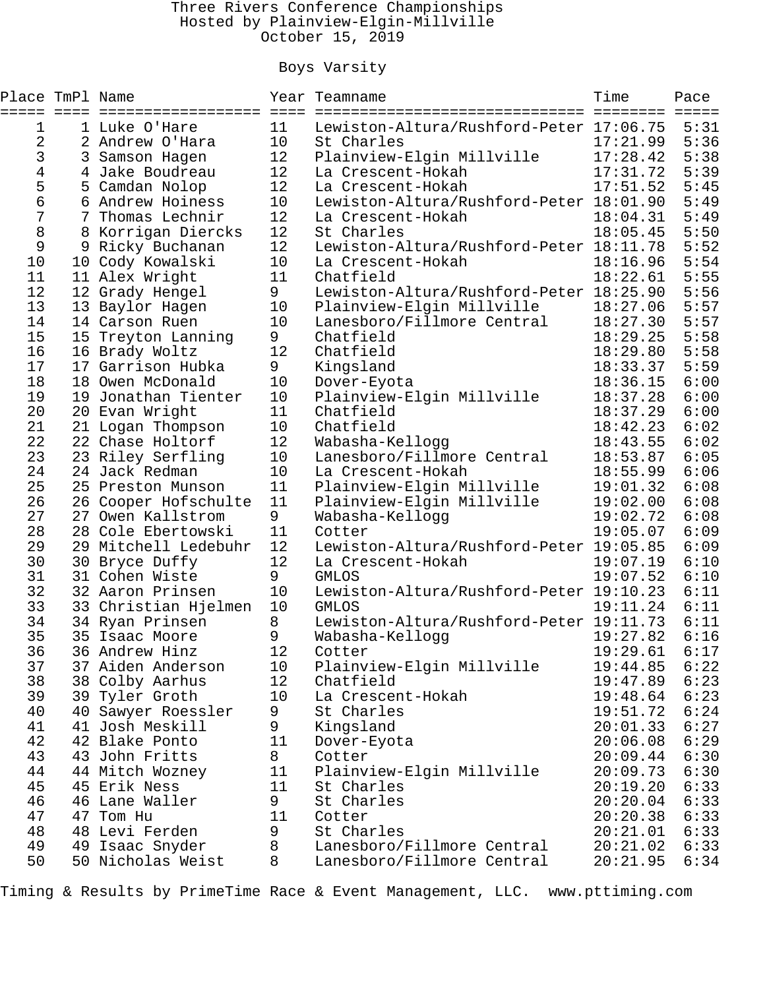### Three Rivers Conference Championships Hosted by Plainview-Elgin-Millville October 15, 2019

## Boys Varsity

| Place TmPl Name |                      |     | Year Teamname                           | Time     | Pace                    |
|-----------------|----------------------|-----|-----------------------------------------|----------|-------------------------|
|                 | ==============       | $=$ | Lewiston-Altura/Rushford-Peter 17:06.75 | ======== | $=$ $=$ $=$ $=$<br>5:31 |
| 1               | 1 Luke O'Hare        | 11  |                                         |          |                         |
| 2               | 2 Andrew O'Hara      | 10  | St Charles                              | 17:21.99 | 5:36<br>5:38            |
| 3               | 3 Samson Hagen       | 12  | Plainview-Elgin Millville               | 17:28.42 |                         |
| 4               | 4 Jake Boudreau      | 12  | La Crescent-Hokah                       | 17:31.72 | 5:39                    |
| 5               | 5 Camdan Nolop       | 12  | La Crescent-Hokah                       | 17:51.52 | 5:45                    |
| б               | 6 Andrew Hoiness     | 10  | Lewiston-Altura/Rushford-Peter 18:01.90 |          | 5:49                    |
| 7               | 7 Thomas Lechnir     | 12  | La Crescent-Hokah                       | 18:04.31 | 5:49                    |
| 8               | 8 Korrigan Diercks   | 12  | St Charles                              | 18:05.45 | 5:50                    |
| 9               | 9 Ricky Buchanan     | 12  | Lewiston-Altura/Rushford-Peter 18:11.78 |          | 5:52                    |
| 10              | 10 Cody Kowalski     | 10  | La Crescent-Hokah                       | 18:16.96 | 5:54                    |
| 11              | 11 Alex Wright       | 11  | Chatfield                               | 18:22.61 | 5:55                    |
| 12              | 12 Grady Hengel      | 9   | Lewiston-Altura/Rushford-Peter 18:25.90 |          | 5:56                    |
| 13              | 13 Baylor Hagen      | 10  | Plainview-Elgin Millville               | 18:27.06 | 5:57                    |
| 14              | 14 Carson Ruen       | 10  | Lanesboro/Fillmore Central              | 18:27.30 | 5:57                    |
| 15              | 15 Treyton Lanning   | 9   | Chatfield                               | 18:29.25 | 5:58                    |
| 16              | 16 Brady Woltz       | 12  | Chatfield                               | 18:29.80 | 5:58                    |
| 17              | 17 Garrison Hubka    | 9   | Kingsland                               | 18:33.37 | 5:59                    |
| 18              | 18 Owen McDonald     | 10  | Dover-Eyota                             | 18:36.15 | 6:00                    |
| 19              | 19 Jonathan Tienter  | 10  | Plainview-Elgin Millville               | 18:37.28 | 6:00                    |
| 20              | 20 Evan Wright       | 11  | Chatfield                               | 18:37.29 | 6:00                    |
| 21              | 21 Logan Thompson    | 10  | Chatfield                               | 18:42.23 | 6:02                    |
| 22              | 22 Chase Holtorf     | 12  | Wabasha-Kellogg                         | 18:43.55 | 6:02                    |
| 23              | 23 Riley Serfling    | 10  | Lanesboro/Fillmore Central              | 18:53.87 | 6:05                    |
| 24              | 24 Jack Redman       | 10  | La Crescent-Hokah                       | 18:55.99 | 6:06                    |
| 25              | 25 Preston Munson    | 11  | Plainview-Elgin Millville               | 19:01.32 | 6:08                    |
| 26              | 26 Cooper Hofschulte | 11  | Plainview-Elgin Millville               | 19:02.00 | 6:08                    |
| 27              | 27 Owen Kallstrom    | 9   | Wabasha-Kellogg                         | 19:02.72 | 6:08                    |
| 28              | 28 Cole Ebertowski   | 11  | Cotter                                  | 19:05.07 | 6:09                    |
| 29              | 29 Mitchell Ledebuhr | 12  | Lewiston-Altura/Rushford-Peter 19:05.85 |          | 6:09                    |
| 30              | 30 Bryce Duffy       | 12  | La Crescent-Hokah                       | 19:07.19 | 6:10                    |
| 31              | 31 Cohen Wiste       | 9   | <b>GMLOS</b>                            | 19:07.52 | 6:10                    |
| 32              | 32 Aaron Prinsen     | 10  | Lewiston-Altura/Rushford-Peter 19:10.23 |          | 6:11                    |
| 33              | 33 Christian Hjelmen | 10  | <b>GMLOS</b>                            | 19:11.24 | 6:11                    |
| 34              | 34 Ryan Prinsen      | 8   | Lewiston-Altura/Rushford-Peter 19:11.73 |          | 6:11                    |
| 35              | 35 Isaac Moore       | 9   | Wabasha-Kellogg                         | 19:27.82 | 6:16                    |
| 36              | 36 Andrew Hinz       | 12  | Cotter                                  | 19:29.61 | 6:17                    |
| 37              | 37 Aiden Anderson    | 10  | Plainview-Elgin Millville               | 19:44.85 | 6:22                    |
| 38              | 38 Colby Aarhus      | 12  | Chatfield                               | 19:47.89 | 6:23                    |
| 39              | 39 Tyler Groth       | 10  | La Crescent-Hokah                       | 19:48.64 | 6:23                    |
| 40              | 40 Sawyer Roessler   | 9   | St Charles                              | 19:51.72 | 6:24                    |
| 41              | 41 Josh Meskill      |     |                                         |          | 6:27                    |
|                 |                      | 9   | Kingsland                               | 20:01.33 |                         |
| 42              | 42 Blake Ponto       | 11  | Dover-Eyota                             | 20:06.08 | 6:29                    |
| 43              | 43 John Fritts       | 8   | Cotter                                  | 20:09.44 | 6:30                    |
| 44              | 44 Mitch Wozney      | 11  | Plainview-Elgin Millville               | 20:09.73 | 6:30                    |
| 45              | 45 Erik Ness         | 11  | St Charles                              | 20:19.20 | 6:33                    |
| 46              | 46 Lane Waller       | 9   | St Charles                              | 20:20.04 | 6:33                    |
| 47              | 47 Tom Hu            | 11  | Cotter                                  | 20:20.38 | 6:33                    |
| 48              | 48 Levi Ferden       | 9   | St Charles                              | 20:21.01 | 6:33                    |
| 49              | 49 Isaac Snyder      | 8   | Lanesboro/Fillmore Central              | 20:21.02 | 6:33                    |
| 50              | 50 Nicholas Weist    | 8   | Lanesboro/Fillmore Central              | 20:21.95 | 6:34                    |

Timing & Results by PrimeTime Race & Event Management, LLC. www.pttiming.com